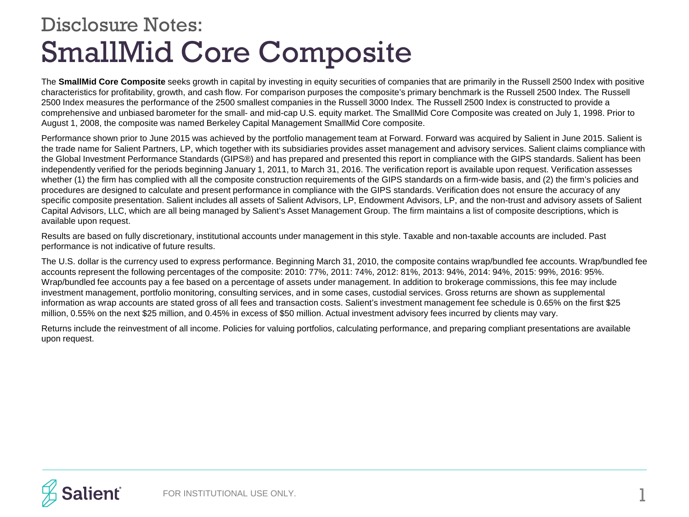## SmallMid Core Composite Disclosure Notes:

The **SmallMid Core Composite** seeks growth in capital by investing in equity securities of companies that are primarily in the Russell 2500 Index with positive characteristics for profitability, growth, and cash flow. For comparison purposes the composite's primary benchmark is the Russell 2500 Index. The Russell 2500 Index measures the performance of the 2500 smallest companies in the Russell 3000 Index. The Russell 2500 Index is constructed to provide a comprehensive and unbiased barometer for the small- and mid-cap U.S. equity market. The SmallMid Core Composite was created on July 1, 1998. Prior to August 1, 2008, the composite was named Berkeley Capital Management SmallMid Core composite.

Performance shown prior to June 2015 was achieved by the portfolio management team at Forward. Forward was acquired by Salient in June 2015. Salient is the trade name for Salient Partners, LP, which together with its subsidiaries provides asset management and advisory services. Salient claims compliance with the Global Investment Performance Standards (GIPS®) and has prepared and presented this report in compliance with the GIPS standards. Salient has been independently verified for the periods beginning January 1, 2011, to March 31, 2016. The verification report is available upon request. Verification assesses whether (1) the firm has complied with all the composite construction requirements of the GIPS standards on a firm-wide basis, and (2) the firm's policies and procedures are designed to calculate and present performance in compliance with the GIPS standards. Verification does not ensure the accuracy of any specific composite presentation. Salient includes all assets of Salient Advisors, LP, Endowment Advisors, LP, and the non-trust and advisory assets of Salient Capital Advisors, LLC, which are all being managed by Salient's Asset Management Group. The firm maintains a list of composite descriptions, which is available upon request.

Results are based on fully discretionary, institutional accounts under management in this style. Taxable and non-taxable accounts are included. Past performance is not indicative of future results.

The U.S. dollar is the currency used to express performance. Beginning March 31, 2010, the composite contains wrap/bundled fee accounts. Wrap/bundled fee accounts represent the following percentages of the composite: 2010: 77%, 2011: 74%, 2012: 81%, 2013: 94%, 2014: 94%, 2015: 99%, 2016: 95%. Wrap/bundled fee accounts pay a fee based on a percentage of assets under management. In addition to brokerage commissions, this fee may include investment management, portfolio monitoring, consulting services, and in some cases, custodial services. Gross returns are shown as supplemental information as wrap accounts are stated gross of all fees and transaction costs. Salient's investment management fee schedule is 0.65% on the first \$25 million, 0.55% on the next \$25 million, and 0.45% in excess of \$50 million. Actual investment advisory fees incurred by clients may vary.

Returns include the reinvestment of all income. Policies for valuing portfolios, calculating performance, and preparing compliant presentations are available upon request.